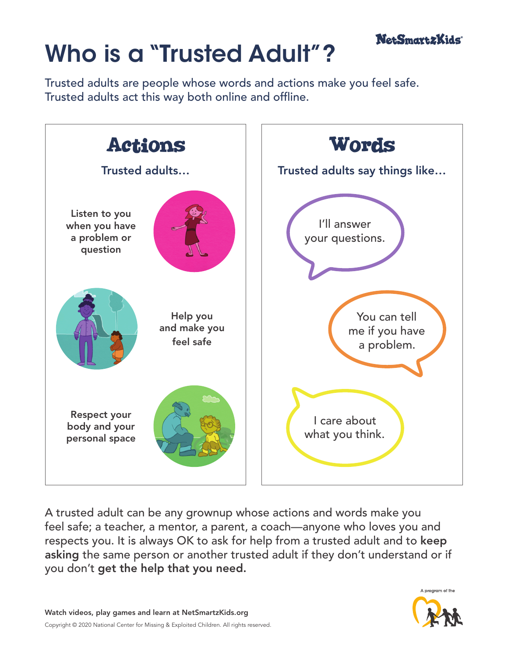

## Who is a "Trusted Adult"?

Trusted adults are people whose words and actions make you feel safe. Trusted adults act this way both online and offline.



A trusted adult can be any grownup whose actions and words make you feel safe; a teacher, a mentor, a parent, a coach—anyone who loves you and respects you. It is always OK to ask for help from a trusted adult and to keep asking the same person or another trusted adult if they don't understand or if you don't get the help that you need.